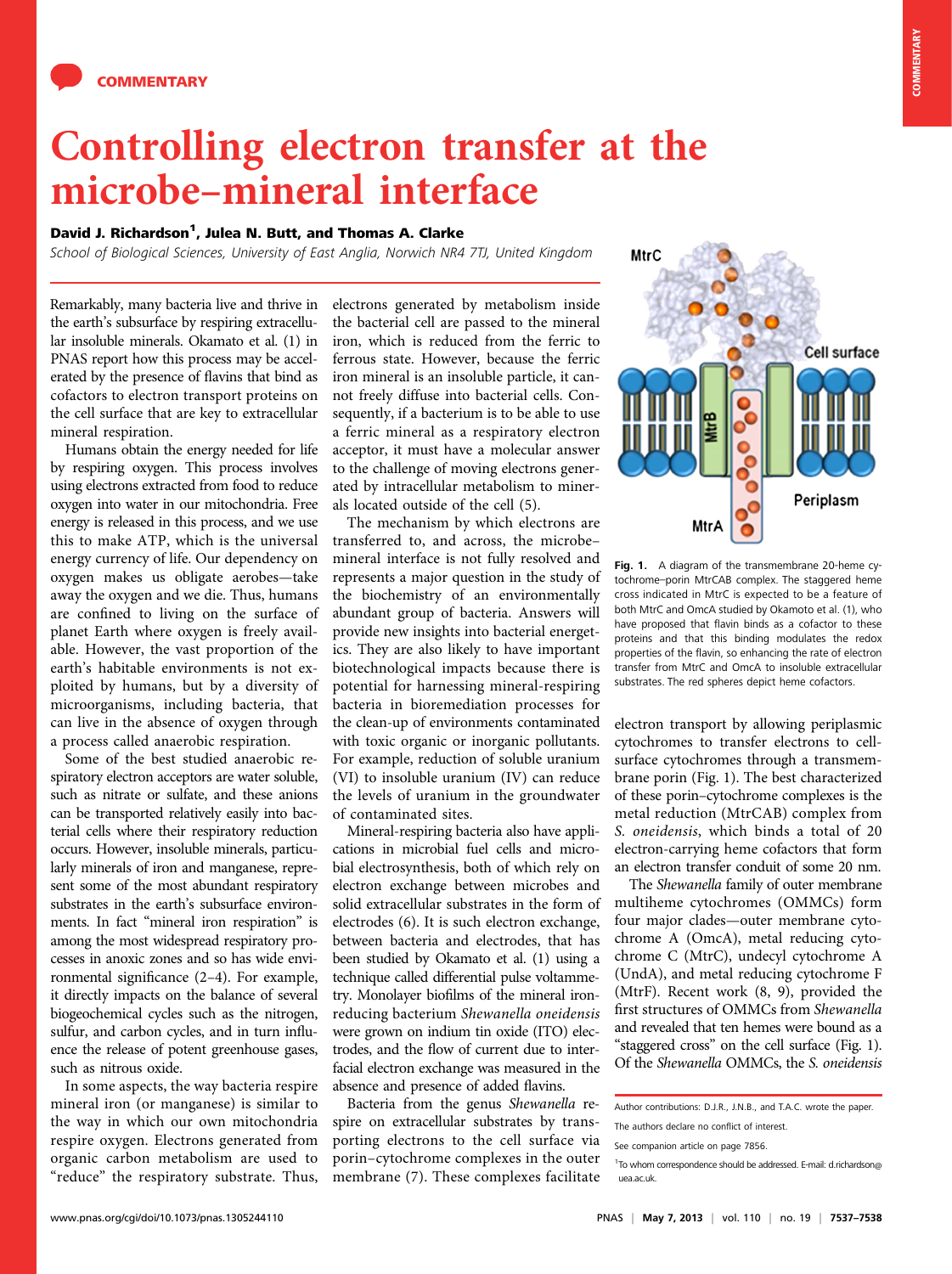## microbe–mineral interface<br>David J. Richardson<sup>1</sup>, Julea N. Butt, and Thomas A. Clarke

## David J. Richardson<sup>1</sup>, Julea N. Butt, and Thomas A. Clarke

School of Biological Sciences, University of East Anglia, Norwich NR4 7TJ, United Kingdom

Remarkably, many bacteria live and thrive in the earth's subsurface by respiring extracellular insoluble minerals. Okamato et al. (1) in PNAS report how this process may be accelerated by the presence of flavins that bind as cofactors to electron transport proteins on the cell surface that are key to extracellular mineral respiration.

Humans obtain the energy needed for life by respiring oxygen. This process involves using electrons extracted from food to reduce oxygen into water in our mitochondria. Free energy is released in this process, and we use this to make ATP, which is the universal energy currency of life. Our dependency on oxygen makes us obligate aerobes—take away the oxygen and we die. Thus, humans are confined to living on the surface of planet Earth where oxygen is freely available. However, the vast proportion of the earth's habitable environments is not exploited by humans, but by a diversity of microorganisms, including bacteria, that can live in the absence of oxygen through a process called anaerobic respiration.

Some of the best studied anaerobic respiratory electron acceptors are water soluble, such as nitrate or sulfate, and these anions can be transported relatively easily into bacterial cells where their respiratory reduction occurs. However, insoluble minerals, particularly minerals of iron and manganese, represent some of the most abundant respiratory substrates in the earth's subsurface environments. In fact "mineral iron respiration" is among the most widespread respiratory processes in anoxic zones and so has wide environmental significance (2–4). For example, it directly impacts on the balance of several biogeochemical cycles such as the nitrogen, sulfur, and carbon cycles, and in turn influence the release of potent greenhouse gases, such as nitrous oxide.

In some aspects, the way bacteria respire mineral iron (or manganese) is similar to the way in which our own mitochondria respire oxygen. Electrons generated from organic carbon metabolism are used to "reduce" the respiratory substrate. Thus, electrons generated by metabolism inside the bacterial cell are passed to the mineral iron, which is reduced from the ferric to ferrous state. However, because the ferric iron mineral is an insoluble particle, it cannot freely diffuse into bacterial cells. Consequently, if a bacterium is to be able to use a ferric mineral as a respiratory electron acceptor, it must have a molecular answer to the challenge of moving electrons generated by intracellular metabolism to minerals located outside of the cell (5).

The mechanism by which electrons are transferred to, and across, the microbe– mineral interface is not fully resolved and represents a major question in the study of the biochemistry of an environmentally abundant group of bacteria. Answers will provide new insights into bacterial energetics. They are also likely to have important biotechnological impacts because there is potential for harnessing mineral-respiring bacteria in bioremediation processes for the clean-up of environments contaminated with toxic organic or inorganic pollutants. For example, reduction of soluble uranium (VI) to insoluble uranium (IV) can reduce the levels of uranium in the groundwater of contaminated sites.

Mineral-respiring bacteria also have applications in microbial fuel cells and microbial electrosynthesis, both of which rely on electron exchange between microbes and solid extracellular substrates in the form of electrodes (6). It is such electron exchange, between bacteria and electrodes, that has been studied by Okamato et al. (1) using a technique called differential pulse voltammetry. Monolayer biofilms of the mineral ironreducing bacterium Shewanella oneidensis were grown on indium tin oxide (ITO) electrodes, and the flow of current due to interfacial electron exchange was measured in the absence and presence of added flavins.

Bacteria from the genus Shewanella respire on extracellular substrates by transporting electrons to the cell surface via porin–cytochrome complexes in the outer membrane (7). These complexes facilitate



MtrC

tochrome–porin MtrCAB complex. The staggered heme cross indicated in MtrC is expected to be a feature of both MtrC and OmcA studied by Okamoto et al. (1), who have proposed that flavin binds as a cofactor to these proteins and that this binding modulates the redox properties of the flavin, so enhancing the rate of electron transfer from MtrC and OmcA to insoluble extracellular substrates. The red spheres depict heme cofactors.

electron transport by allowing periplasmic cytochromes to transfer electrons to cellsurface cytochromes through a transmembrane porin (Fig. 1). The best characterized of these porin–cytochrome complexes is the metal reduction (MtrCAB) complex from S. oneidensis, which binds a total of 20 electron-carrying heme cofactors that form an electron transfer conduit of some 20 nm.

The Shewanella family of outer membrane multiheme cytochromes (OMMCs) form four major clades—outer membrane cytochrome A (OmcA), metal reducing cytochrome C (MtrC), undecyl cytochrome A (UndA), and metal reducing cytochrome F (MtrF). Recent work (8, 9), provided the first structures of OMMCs from Shewanella and revealed that ten hemes were bound as a "staggered cross" on the cell surface (Fig. 1). Of the Shewanella OMMCs, the S. oneidensis

Author contributions: D.J.R., J.N.B., and T.A.C. wrote the paper.

The authors declare no conflict of interest.

See companion article on page 7856.

<sup>&</sup>lt;sup>1</sup>To whom correspondence should be addressed. E-mail: [d.richardson@](mailto:d.richardson@uea.ac.uk) [uea.ac.uk](mailto:d.richardson@uea.ac.uk).